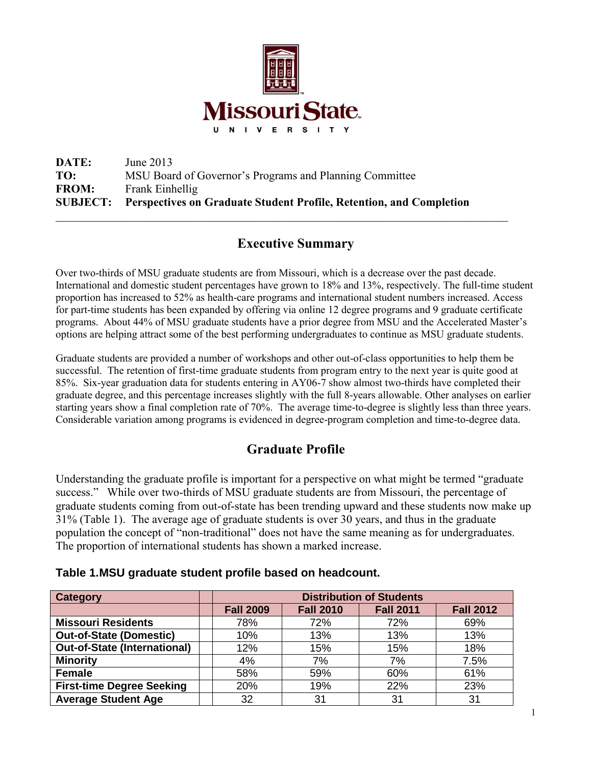

**DATE:** June 2013 **TO:** MSU Board of Governor's Programs and Planning Committee **FROM:** Frank Einhellig **SUBJECT: Perspectives on Graduate Student Profile, Retention, and Completion**  $\_$  , and the contribution of the contribution of the contribution of the contribution of  $\mathcal{L}_\text{max}$ 

# **Executive Summary**

Over two-thirds of MSU graduate students are from Missouri, which is a decrease over the past decade. International and domestic student percentages have grown to 18% and 13%, respectively. The full-time student proportion has increased to 52% as health-care programs and international student numbers increased. Access for part-time students has been expanded by offering via online 12 degree programs and 9 graduate certificate programs. About 44% of MSU graduate students have a prior degree from MSU and the Accelerated Master's options are helping attract some of the best performing undergraduates to continue as MSU graduate students.

Graduate students are provided a number of workshops and other out-of-class opportunities to help them be successful. The retention of first-time graduate students from program entry to the next year is quite good at 85%. Six-year graduation data for students entering in AY06-7 show almost two-thirds have completed their graduate degree, and this percentage increases slightly with the full 8-years allowable. Other analyses on earlier starting years show a final completion rate of 70%. The average time-to-degree is slightly less than three years. Considerable variation among programs is evidenced in degree-program completion and time-to-degree data.

# **Graduate Profile**

Understanding the graduate profile is important for a perspective on what might be termed "graduate success." While over two-thirds of MSU graduate students are from Missouri, the percentage of graduate students coming from out-of-state has been trending upward and these students now make up 31% (Table 1). The average age of graduate students is over 30 years, and thus in the graduate population the concept of "non-traditional" does not have the same meaning as for undergraduates. The proportion of international students has shown a marked increase.

#### **Table 1.MSU graduate student profile based on headcount.**

| <b>Category</b>                     | <b>Distribution of Students</b> |                  |                  |                  |  |  |  |
|-------------------------------------|---------------------------------|------------------|------------------|------------------|--|--|--|
|                                     | <b>Fall 2009</b>                | <b>Fall 2010</b> | <b>Fall 2011</b> | <b>Fall 2012</b> |  |  |  |
| <b>Missouri Residents</b>           | 78%                             | 72%              | 72%              | 69%              |  |  |  |
| <b>Out-of-State (Domestic)</b>      | 10%                             | 13%              | 13%              | 13%              |  |  |  |
| <b>Out-of-State (International)</b> | 12%                             | 15%              | 15%              | 18%              |  |  |  |
| <b>Minority</b>                     | 4%                              | 7%               | 7%               | 7.5%             |  |  |  |
| <b>Female</b>                       | 58%                             | 59%              | 60%              | 61%              |  |  |  |
| <b>First-time Degree Seeking</b>    | 20%                             | 19%              | 22%              | 23%              |  |  |  |
| <b>Average Student Age</b>          | 32                              | 31               | 31               | 31               |  |  |  |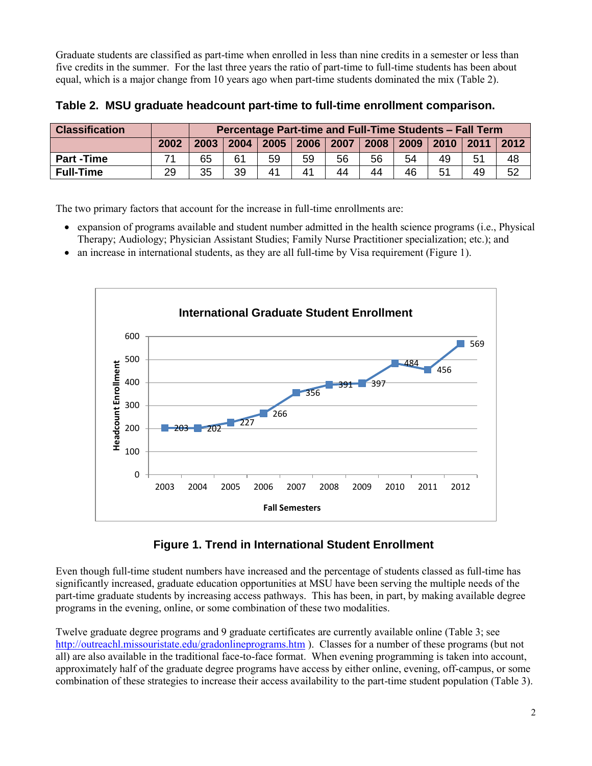Graduate students are classified as part-time when enrolled in less than nine credits in a semester or less than five credits in the summer. For the last three years the ratio of part-time to full-time students has been about equal, which is a major change from 10 years ago when part-time students dominated the mix (Table 2).

| <b>Classification</b> |      | Percentage Part-time and Full-Time Students - Fall Term |      |                |    |    |    |                |    |               |    |
|-----------------------|------|---------------------------------------------------------|------|----------------|----|----|----|----------------|----|---------------|----|
|                       | 2002 | 2003                                                    | 2004 | 2005 2006 2007 |    |    |    | 2008 2009 2010 |    | ∣ 2011   2012 |    |
| <b>Part-Time</b>      |      | 65                                                      | 61   | 59             | 59 | 56 | 56 | 54             | 49 | 51            | 48 |
| <b>Full-Time</b>      | 29   | 35                                                      | 39   | 41             | 41 | 44 | 44 | 46             |    | 49            | 52 |

**Table 2. MSU graduate headcount part-time to full-time enrollment comparison.**

The two primary factors that account for the increase in full-time enrollments are:

- expansion of programs available and student number admitted in the health science programs (i.e., Physical Therapy; Audiology; Physician Assistant Studies; Family Nurse Practitioner specialization; etc.); and
- $\bullet$  an increase in international students, as they are all full-time by Visa requirement (Figure 1).



### **Figure 1. Trend in International Student Enrollment**

Even though full-time student numbers have increased and the percentage of students classed as full-time has significantly increased, graduate education opportunities at MSU have been serving the multiple needs of the part-time graduate students by increasing access pathways. This has been, in part, by making available degree programs in the evening, online, or some combination of these two modalities.

Twelve graduate degree programs and 9 graduate certificates are currently available online (Table 3; see <http://outreachl.missouristate.edu/gradonlineprograms.htm> ). Classes for a number of these programs (but not all) are also available in the traditional face-to-face format. When evening programming is taken into account, approximately half of the graduate degree programs have access by either online, evening, off-campus, or some combination of these strategies to increase their access availability to the part-time student population (Table 3).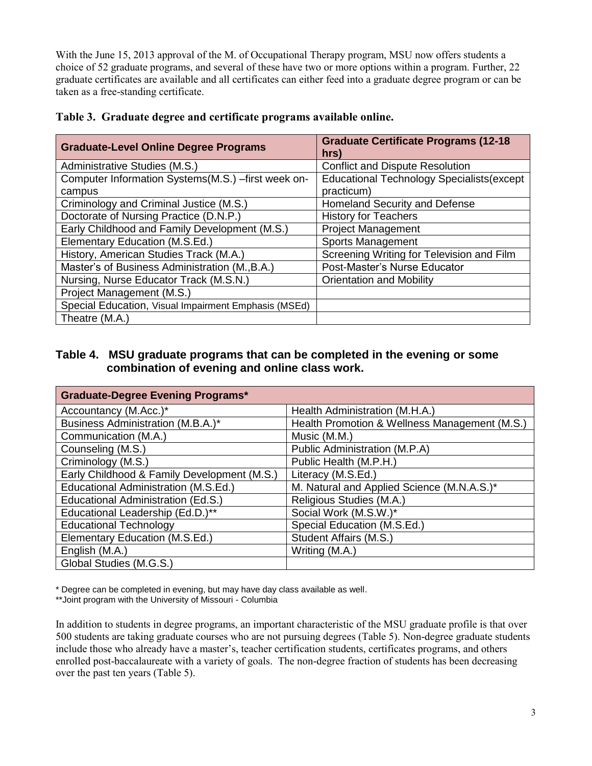With the June 15, 2013 approval of the M. of Occupational Therapy program, MSU now offers students a choice of 52 graduate programs, and several of these have two or more options within a program. Further, 22 graduate certificates are available and all certificates can either feed into a graduate degree program or can be taken as a free-standing certificate.

| <b>Graduate-Level Online Degree Programs</b>         | <b>Graduate Certificate Programs (12-18)</b><br>hrs) |
|------------------------------------------------------|------------------------------------------------------|
| Administrative Studies (M.S.)                        | <b>Conflict and Dispute Resolution</b>               |
| Computer Information Systems(M.S.) -first week on-   | Educational Technology Specialists (except           |
| campus                                               | practicum)                                           |
| Criminology and Criminal Justice (M.S.)              | Homeland Security and Defense                        |
| Doctorate of Nursing Practice (D.N.P.)               | <b>History for Teachers</b>                          |
| Early Childhood and Family Development (M.S.)        | <b>Project Management</b>                            |
| Elementary Education (M.S.Ed.)                       | <b>Sports Management</b>                             |
| History, American Studies Track (M.A.)               | Screening Writing for Television and Film            |
| Master's of Business Administration (M., B.A.)       | Post-Master's Nurse Educator                         |
| Nursing, Nurse Educator Track (M.S.N.)               | <b>Orientation and Mobility</b>                      |
| Project Management (M.S.)                            |                                                      |
| Special Education, Visual Impairment Emphasis (MSEd) |                                                      |
| Theatre (M.A.)                                       |                                                      |

#### **Table 3. Graduate degree and certificate programs available online.**

#### **Table 4. MSU graduate programs that can be completed in the evening or some combination of evening and online class work.**

| <b>Graduate-Degree Evening Programs*</b>    |                                               |
|---------------------------------------------|-----------------------------------------------|
| Accountancy (M.Acc.)*                       | Health Administration (M.H.A.)                |
| Business Administration (M.B.A.)*           | Health Promotion & Wellness Management (M.S.) |
| Communication (M.A.)                        | Music (M.M.)                                  |
| Counseling (M.S.)                           | Public Administration (M.P.A)                 |
| Criminology (M.S.)                          | Public Health (M.P.H.)                        |
| Early Childhood & Family Development (M.S.) | Literacy (M.S.Ed.)                            |
| Educational Administration (M.S.Ed.)        | M. Natural and Applied Science (M.N.A.S.)*    |
| Educational Administration (Ed.S.)          | Religious Studies (M.A.)                      |
| Educational Leadership (Ed.D.)**            | Social Work (M.S.W.)*                         |
| <b>Educational Technology</b>               | Special Education (M.S.Ed.)                   |
| Elementary Education (M.S.Ed.)              | Student Affairs (M.S.)                        |
| English (M.A.)                              | Writing (M.A.)                                |
| Global Studies (M.G.S.)                     |                                               |

\* Degree can be completed in evening, but may have day class available as well.

\*\*Joint program with the University of Missouri - Columbia

In addition to students in degree programs, an important characteristic of the MSU graduate profile is that over 500 students are taking graduate courses who are not pursuing degrees (Table 5). Non-degree graduate students include those who already have a master's, teacher certification students, certificates programs, and others enrolled post-baccalaureate with a variety of goals. The non-degree fraction of students has been decreasing over the past ten years (Table 5).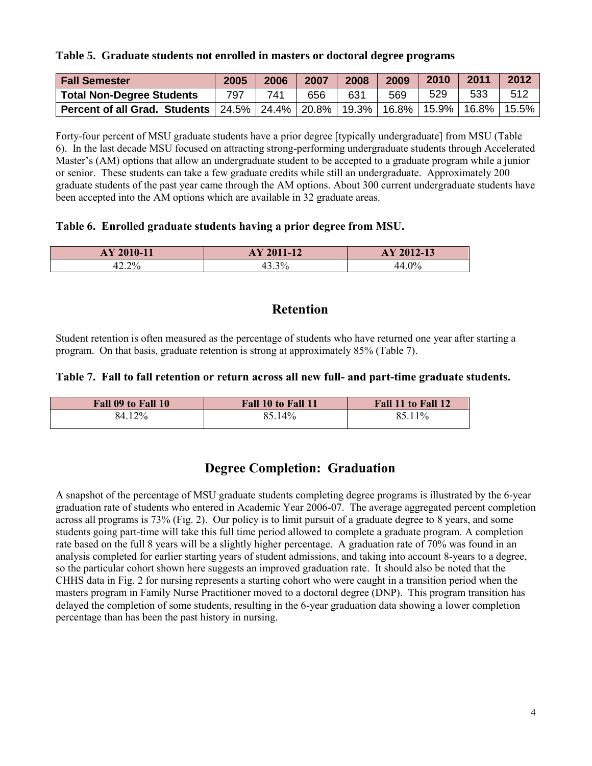#### **Table 5. Graduate students not enrolled in masters or doctoral degree programs**

| <b>Fall Semester</b>                                                                 | 2005 | 2006 | 2007 | 2008 | 2009 | 2010 | 2011     | 2012     |
|--------------------------------------------------------------------------------------|------|------|------|------|------|------|----------|----------|
| <b>Total Non-Degree Students</b>                                                     | 797  | 741  | 656  | 631  | 569  | 529  | 533      | 512      |
| <b>Percent of all Grad. Students</b>   24.5%   24.4%   20.8%   19.3%   16.8%   15.9% |      |      |      |      |      |      | $16.8\%$ | $15.5\%$ |

Forty-four percent of MSU graduate students have a prior degree [typically undergraduate] from MSU (Table 6). In the last decade MSU focused on attracting strong-performing undergraduate students through Accelerated Master's (AM) options that allow an undergraduate student to be accepted to a graduate program while a junior or senior. These students can take a few graduate credits while still an undergraduate. Approximately 200 graduate students of the past year came through the AM options. About 300 current undergraduate students have been accepted into the AM options which are available in 32 graduate areas.

#### **Table 6. Enrolled graduate students having a prior degree from MSU.**

| 2010-11<br>AA               | $2011 - 12$<br>AY | AY 2012-13     |
|-----------------------------|-------------------|----------------|
| 20 <sub>1</sub><br>r∠.∠ ⁄ ∪ | 20/<br>ּ<br>. .   | $\Omega$<br>70 |

## **Retention**

Student retention is often measured as the percentage of students who have returned one year after starting a program. On that basis, graduate retention is strong at approximately 85% (Table 7).

#### **Table 7. Fall to fall retention or return across all new full- and part-time graduate students.**

| Fall 09 to Fall 10 | Fall 10 to Fall 11 | Fall 11 to Fall 12 |
|--------------------|--------------------|--------------------|
| 84.12%             | $14\%$<br>-85      | 85.11%             |

# **Degree Completion: Graduation**

A snapshot of the percentage of MSU graduate students completing degree programs is illustrated by the 6-year graduation rate of students who entered in Academic Year 2006-07. The average aggregated percent completion across all programs is 73% (Fig. 2). Our policy is to limit pursuit of a graduate degree to 8 years, and some students going part-time will take this full time period allowed to complete a graduate program. A completion rate based on the full 8 years will be a slightly higher percentage. A graduation rate of 70% was found in an analysis completed for earlier starting years of student admissions, and taking into account 8-years to a degree, so the particular cohort shown here suggests an improved graduation rate. It should also be noted that the CHHS data in Fig. 2 for nursing represents a starting cohort who were caught in a transition period when the masters program in Family Nurse Practitioner moved to a doctoral degree (DNP). This program transition has delayed the completion of some students, resulting in the 6-year graduation data showing a lower completion percentage than has been the past history in nursing.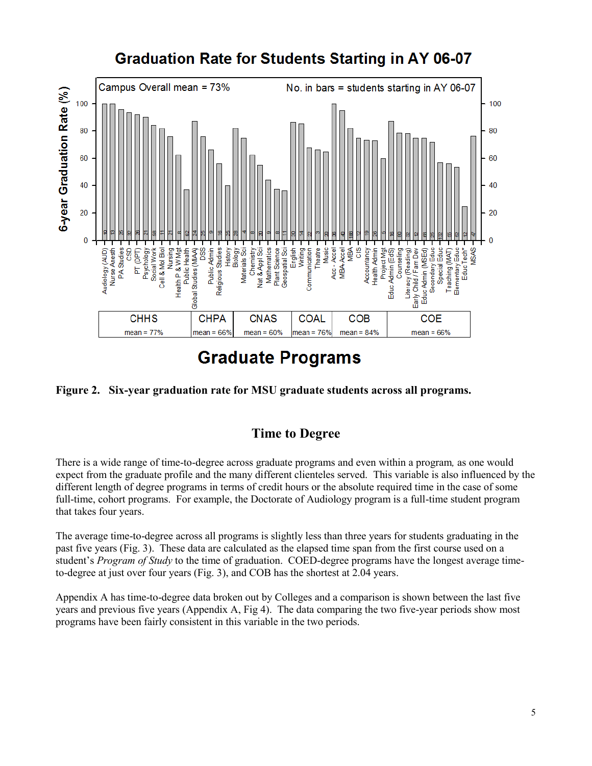

# **Graduation Rate for Students Starting in AY 06-07**

# **Graduate Programs**



# **Time to Degree**

There is a wide range of time-to-degree across graduate programs and even within a program*,* as one would expect from the graduate profile and the many different clienteles served. This variable is also influenced by the different length of degree programs in terms of credit hours or the absolute required time in the case of some full-time, cohort programs. For example, the Doctorate of Audiology program is a full-time student program that takes four years.

The average time-to-degree across all programs is slightly less than three years for students graduating in the past five years (Fig. 3). These data are calculated as the elapsed time span from the first course used on a student's *Program of Study* to the time of graduation. COED-degree programs have the longest average timeto-degree at just over four years (Fig. 3), and COB has the shortest at 2.04 years.

Appendix A has time-to-degree data broken out by Colleges and a comparison is shown between the last five years and previous five years (Appendix A, Fig 4). The data comparing the two five-year periods show most programs have been fairly consistent in this variable in the two periods.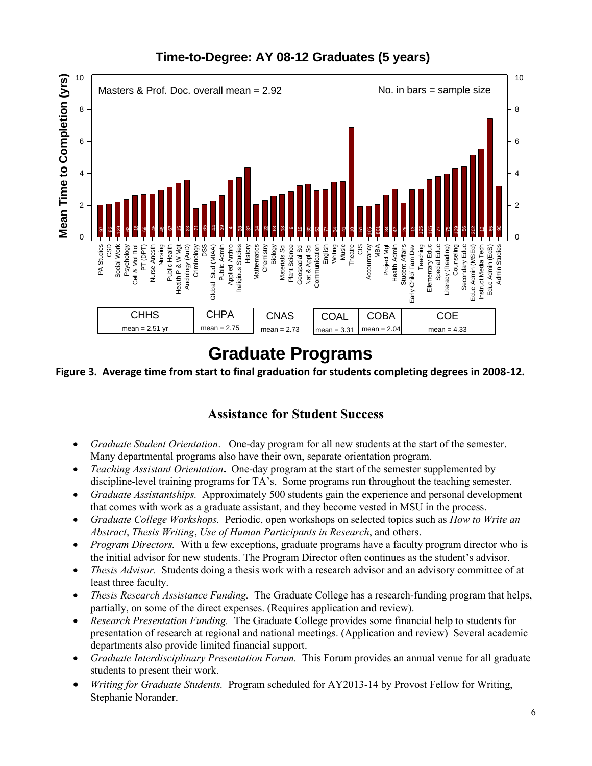

# **Time-to-Degree: AY 08-12 Graduates (5 years)**

**Figure 3. Average time from start to final graduation for students completing degrees in 2008-12.**

# **Assistance for Student Success**

- *Graduate Student Orientation*. One-day program for all new students at the start of the semester. Many departmental programs also have their own, separate orientation program.
- *Teaching Assistant Orientation*, One-day program at the start of the semester supplemented by discipline-level training programs for TA's, Some programs run throughout the teaching semester.
- *Graduate Assistantships.*Approximately 500 students gain the experience and personal development that comes with work as a graduate assistant, and they become vested in MSU in the process.
- *Graduate College Workshops.*Periodic, open workshops on selected topics such as *How to Write an Abstract*, *Thesis Writing*, *Use of Human Participants in Research*, and others.
- *Program Directors.* With a few exceptions, graduate programs have a faculty program director who is the initial advisor for new students. The Program Director often continues as the student's advisor.
- *Thesis Advisor.* Students doing a thesis work with a research advisor and an advisory committee of at least three faculty.
- *Thesis Research Assistance Funding.* The Graduate College has a research-funding program that helps, partially, on some of the direct expenses. (Requires application and review).
- *Research Presentation Funding.* The Graduate College provides some financial help to students for presentation of research at regional and national meetings. (Application and review) Several academic departments also provide limited financial support.
- *Graduate Interdisciplinary Presentation Forum.* This Forum provides an annual venue for all graduate students to present their work.
- *Writing for Graduate Students.*Program scheduled for AY2013-14 by Provost Fellow for Writing, Stephanie Norander.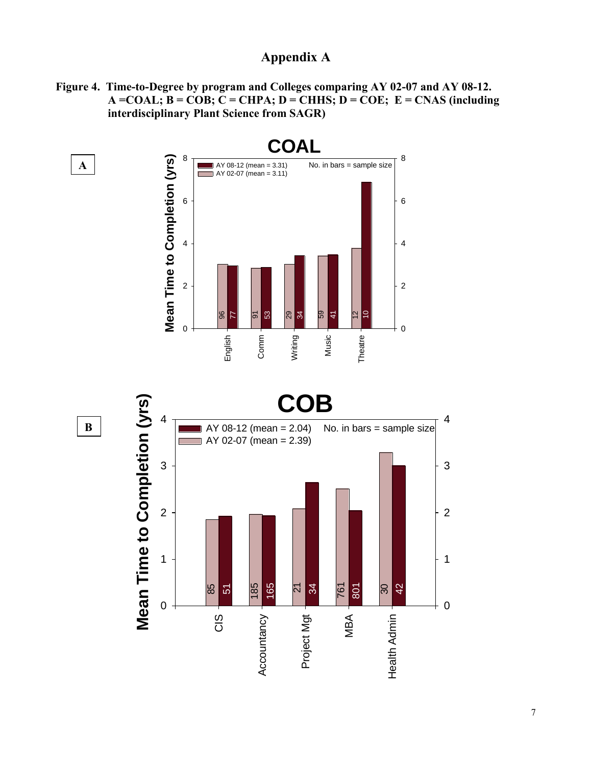# **Appendix A**

**Figure 4. Time-to-Degree by program and Colleges comparing AY 02-07 and AY 08-12.**  $A = COAL$ ;  $B = COB$ ;  $C = CHPA$ ;  $D = CHHS$ ;  $D = COE$ ;  $E = CNAS$  (including  **interdisciplinary Plant Science from SAGR)** 





**B**

**A .**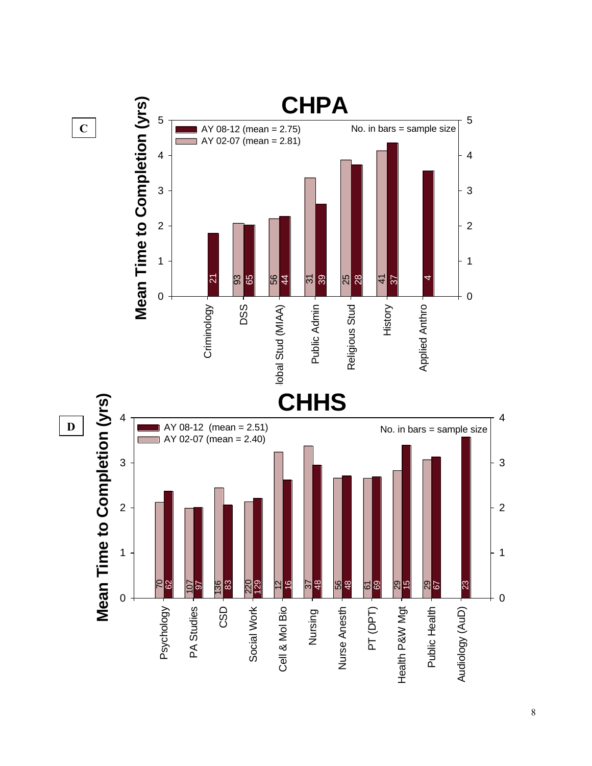